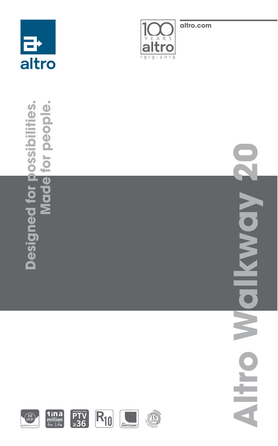

**Designed for possibilities.**

**Designed for possibilities.** 

**Made for people.**

 $\frac{\textcircled{\textit{i}}}{\textcircled{\textit{ii}}}$ 

 $\overline{\bullet}$ 

for people.



**altro.com**

# **Altro Walkway 20** R NO NO S **Altr**









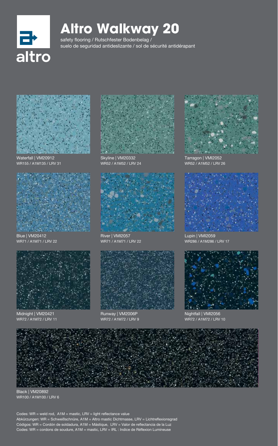

# **Altro Walkway 20**

safety flooring / Rutschfester Bodenbelag / suelo de seguridad antideslizante / sol de sécurité antidérapant



Waterfall | VM20912 WR155 / A1M135 / LRV 31



Blue | VM20412 WR71 / A1M71 / LRV 22



Midnight | VM20421 WR72 / A1M72 / LRV 11



Skyline | VM20332 WR52 / A1M52 / LRV 24



River | VMI2057 WR71 / A1M71 / LRV 22



Runway | VM2006P WR72 / A1M72 / LRV 9



Tarragon | VMI2052 WR52 / A1M52 / LRV 26



Lupin | VMI2059 WR286 / A1M286 / LRV 17



Nightfall | VMI2056 WR72 / A1M72 / LRV 10



Black | VM20892 WR100 / A1M100 / LRV 6

Codes: WR = weld rod, A1M = mastic, LRV = light reflectance value Abkürzungen: WR = Schweißschnüre, A1M = Altro mastic Dichtmasse, LRV = Lichtreflexionsgrad Códigos: WR = Cordón de soldadura, A1M = Mástique, LRV = Valor de reflectancia de la Luz Codes: WR = cordons de soudure, A1M = mastic, LRV = IRL : Indice de Réflexion Lumineuse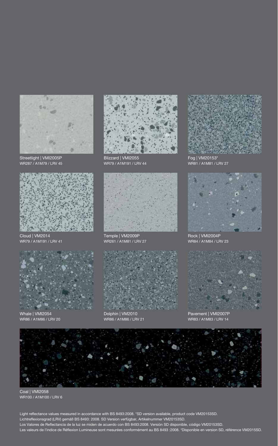

Streetlight | VMI2005P WR287 / A1M79 / LRV 45



Cloud | VM2014 WR79 / A1M191 / LRV 41



Whale | VMI2054 WR86 / A1M86 / LRV 20



Blizzard | VMI2055 WR79 / A1M191 / LRV 44



Temple | VM2009P WR261 / A1M81 / LRV 27



Dolphin | VM2010 WR86 / A1M86 / LRV 21



Fog | VM20153\* WR81 / A1M81 / LRV 27



Rock | VMI2004P WR84 / A1M84 / LRV 23



Pavement | VMI2007P WR83 / A1M83 / LRV 14



Coal | VMI2058 WR100 / A1M100 / LRV 6

Light reflectance values measured in accordance with BS 8493:2008. \*SD version available, product code VM20153SD. Lichtreflexionsgrad (LRV) gemäß BS 8493: 2008. SD Version verfügbar, Artikelnummer VM20153SD. Los Valores de Reflectancia de la luz se miden de acuerdo con BS 8493:2008. Versión SD disponible, código VM20153SD. Les valeurs de l'indice de Réflexion Lumineuse sont mesurées conformément au BS 8493 :2008. \*Disponible en version SD, référence VM2015SD.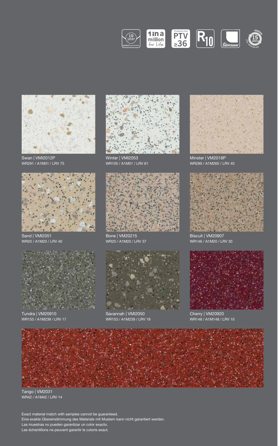



Swan | VMI2012P WR291 / A1M01 / LRV 75



Sand | VMI2051 WR20 / A1M20 / LRV 40



Tundra | VM20910 WR153 / A1M239 / LRV 17



Winter | VMI2053 WR105 / A1M01 / LRV 61



Bone | VM20215 WR20 / A1M20 / LRV 37



Savannah | VMI2050 WR153 / A1M239 / LRV 19



Minster | VM2018P WR289 / A1M265 / LRV 40



Biscuit | VM20907 WR146 / A1M20 / LRV 30



Cherry | VM20920 WR148 / A1M148 / LRV 10



Tango | VM2031 WR42 / A1M42 / LRV 14

Exact material match with samples cannot be guaranteed. Eine exakte Übereinstimmung des Materials mit Mustern kann nicht garantiert werden. Las muestras no pueden garantizar un color exacto. Les échantillons ne peuvent garantir le coloris exact.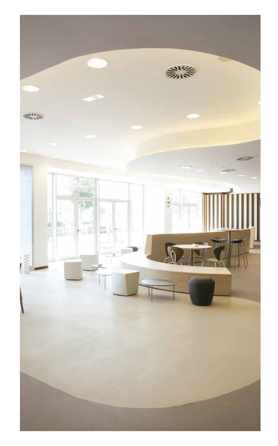